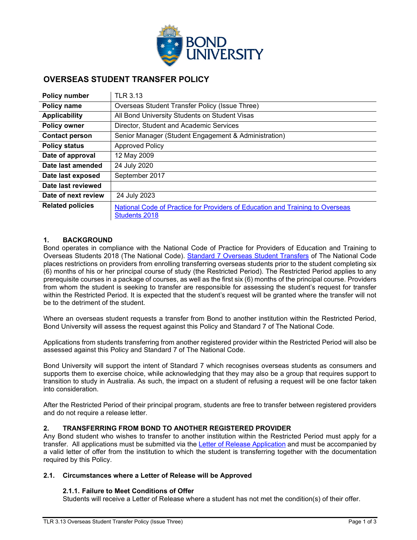

# **OVERSEAS STUDENT TRANSFER POLICY**

| <b>Policy number</b>    | <b>TLR 3.13</b>                                                                                       |
|-------------------------|-------------------------------------------------------------------------------------------------------|
| Policy name             | Overseas Student Transfer Policy (Issue Three)                                                        |
| <b>Applicability</b>    | All Bond University Students on Student Visas                                                         |
| <b>Policy owner</b>     | Director, Student and Academic Services                                                               |
| <b>Contact person</b>   | Senior Manager (Student Engagement & Administration)                                                  |
| <b>Policy status</b>    | <b>Approved Policy</b>                                                                                |
| Date of approval        | 12 May 2009                                                                                           |
| Date last amended       | 24 July 2020                                                                                          |
| Date last exposed       | September 2017                                                                                        |
| Date last reviewed      |                                                                                                       |
| Date of next review     | 24 July 2023                                                                                          |
| <b>Related policies</b> | National Code of Practice for Providers of Education and Training to Overseas<br><b>Students 2018</b> |

# **1. BACKGROUND**

Bond operates in compliance with the National Code of Practice for Providers of Education and Training to Overseas Students 2018 (The National Code). [Standard 7 Overseas Student Transfers](https://internationaleducation.gov.au/Regulatory-Information/Documents/National%20Code%202018%20Factsheets/Standard%207.pdf) of The National Code places restrictions on providers from enrolling transferring overseas students prior to the student completing six (6) months of his or her principal course of study (the Restricted Period). The Restricted Period applies to any prerequisite courses in a package of courses, as well as the first six (6) months of the principal course. Providers from whom the student is seeking to transfer are responsible for assessing the student's request for transfer within the Restricted Period. It is expected that the student's request will be granted where the transfer will not be to the detriment of the student.

Where an overseas student requests a transfer from Bond to another institution within the Restricted Period, Bond University will assess the request against this Policy and Standard 7 of The National Code.

Applications from students transferring from another registered provider within the Restricted Period will also be assessed against this Policy and Standard 7 of The National Code.

Bond University will support the intent of Standard 7 which recognises overseas students as consumers and supports them to exercise choice, while acknowledging that they may also be a group that requires support to transition to study in Australia. As such, the impact on a student of refusing a request will be one factor taken into consideration.

After the Restricted Period of their principal program, students are free to transfer between registered providers and do not require a release letter.

# **2. TRANSFERRING FROM BOND TO ANOTHER REGISTERED PROVIDER**

Any Bond student who wishes to transfer to another institution within the Restricted Period must apply for a transfer. All applications must be submitted via the [Letter of Release Application](https://bond.edu.au/files/2437/letter-release) and must be accompanied by a valid letter of offer from the institution to which the student is transferring together with the documentation required by this Policy.

#### **2.1. Circumstances where a Letter of Release will be Approved**

# **2.1.1. Failure to Meet Conditions of Offer**

Students will receive a Letter of Release where a student has not met the condition(s) of their offer.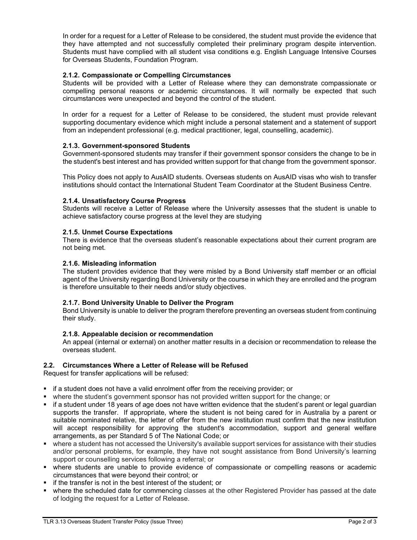In order for a request for a Letter of Release to be considered, the student must provide the evidence that they have attempted and not successfully completed their preliminary program despite intervention. Students must have complied with all student visa conditions e.g. English Language Intensive Courses for Overseas Students, Foundation Program.

# **2.1.2. Compassionate or Compelling Circumstances**

Students will be provided with a Letter of Release where they can demonstrate compassionate or compelling personal reasons or academic circumstances. It will normally be expected that such circumstances were unexpected and beyond the control of the student.

In order for a request for a Letter of Release to be considered, the student must provide relevant supporting documentary evidence which might include a personal statement and a statement of support from an independent professional (e.g. medical practitioner, legal, counselling, academic).

# **2.1.3. Government-sponsored Students**

Government-sponsored students may transfer if their government sponsor considers the change to be in the student's best interest and has provided written support for that change from the government sponsor.

This Policy does not apply to AusAID students. Overseas students on AusAID visas who wish to transfer institutions should contact the International Student Team Coordinator at the Student Business Centre.

### **2.1.4. Unsatisfactory Course Progress**

Students will receive a Letter of Release where the University assesses that the student is unable to achieve satisfactory course progress at the level they are studying

### **2.1.5. Unmet Course Expectations**

There is evidence that the overseas student's reasonable expectations about their current program are not being met.

### **2.1.6. Misleading information**

The student provides evidence that they were misled by a Bond University staff member or an official agent of the University regarding Bond University or the course in which they are enrolled and the program is therefore unsuitable to their needs and/or study objectives.

#### **2.1.7. Bond University Unable to Deliver the Program**

Bond University is unable to deliver the program therefore preventing an overseas student from continuing their study.

#### **2.1.8. Appealable decision or recommendation**

An appeal (internal or external) on another matter results in a decision or recommendation to release the overseas student.

#### **2.2. Circumstances Where a Letter of Release will be Refused**

Request for transfer applications will be refused:

- $\blacksquare$  if a student does not have a valid enrolment offer from the receiving provider; or
- where the student's government sponsor has not provided written support for the change; or
- if a student under 18 years of age does not have written evidence that the student's parent or legal guardian supports the transfer. If appropriate, where the student is not being cared for in Australia by a parent or suitable nominated relative, the letter of offer from the new institution must confirm that the new institution will accept responsibility for approving the student's accommodation, support and general welfare arrangements, as per Standard 5 of The National Code; or
- where a student has not accessed the University's available support services for assistance with their studies and/or personal problems, for example, they have not sought assistance from Bond University's learning support or counselling services following a referral; or
- where students are unable to provide evidence of compassionate or compelling reasons or academic circumstances that were beyond their control; or
- **if the transfer is not in the best interest of the student; or**
- where the scheduled date for commencing classes at the other Registered Provider has passed at the date of lodging the request for a Letter of Release.